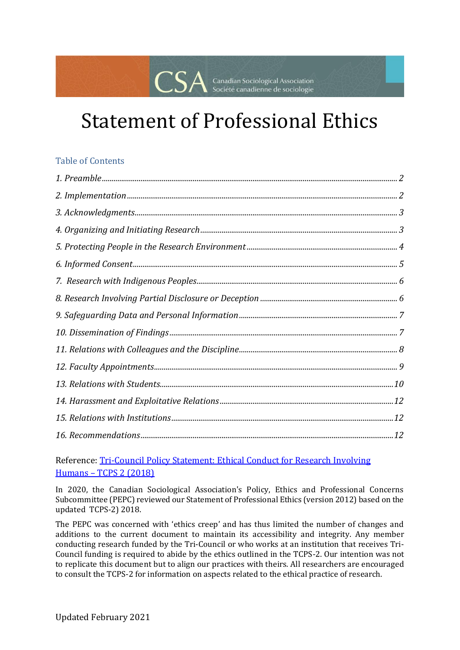# Statement of Professional Ethics

Canadian Sociological Association<br>Société canadienne de sociologie

#### Table of Contents

Reference: [Tri-Council Policy Statement: Ethical Conduct for Research Involving](https://ethics.gc.ca/eng/policy-politique_tcps2-eptc2_2018.html)  Humans – [TCPS 2 \(2018\)](https://ethics.gc.ca/eng/policy-politique_tcps2-eptc2_2018.html)

In 2020, the Canadian Sociological Association's Policy, Ethics and Professional Concerns Subcommittee (PEPC) reviewed our Statement of Professional Ethics (version 2012) based on the updated TCPS-2) 2018.

The PEPC was concerned with 'ethics creep' and has thus limited the number of changes and additions to the current document to maintain its accessibility and integrity. Any member conducting research funded by the Tri-Council or who works at an institution that receives Tri-Council funding is required to abide by the ethics outlined in the TCPS-2. Our intention was not to replicate this document but to align our practices with theirs. All researchers are encouraged to consult the TCPS-2 for information on aspects related to the ethical practice of research.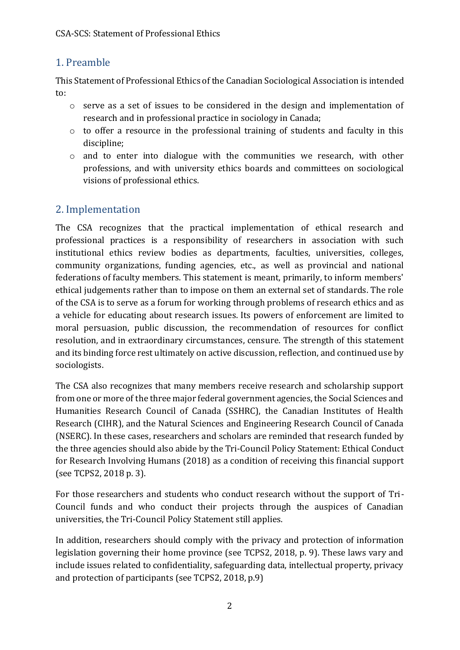# <span id="page-1-0"></span>1. Preamble

This Statement of Professional Ethics of the Canadian Sociological Association is intended to:

- o serve as a set of issues to be considered in the design and implementation of research and in professional practice in sociology in Canada;
- o to offer a resource in the professional training of students and faculty in this discipline;
- o and to enter into dialogue with the communities we research, with other professions, and with university ethics boards and committees on sociological visions of professional ethics.

# <span id="page-1-1"></span>2. Implementation

The CSA recognizes that the practical implementation of ethical research and professional practices is a responsibility of researchers in association with such institutional ethics review bodies as departments, faculties, universities, colleges, community organizations, funding agencies, etc., as well as provincial and national federations of faculty members. This statement is meant, primarily, to inform members' ethical judgements rather than to impose on them an external set of standards. The role of the CSA is to serve as a forum for working through problems of research ethics and as a vehicle for educating about research issues. Its powers of enforcement are limited to moral persuasion, public discussion, the recommendation of resources for conflict resolution, and in extraordinary circumstances, censure. The strength of this statement and its binding force rest ultimately on active discussion, reflection, and continued use by sociologists.

The CSA also recognizes that many members receive research and scholarship support from one or more of the three major federal government agencies, the Social Sciences and Humanities Research Council of Canada (SSHRC), the Canadian Institutes of Health Research (CIHR), and the Natural Sciences and Engineering Research Council of Canada (NSERC). In these cases, researchers and scholars are reminded that research funded by the three agencies should also abide by the Tri-Council Policy Statement: Ethical Conduct for Research Involving Humans (2018) as a condition of receiving this financial support (see TCPS2, 2018 p. 3).

For those researchers and students who conduct research without the support of Tri-Council funds and who conduct their projects through the auspices of Canadian universities, the Tri-Council Policy Statement still applies.

In addition, researchers should comply with the privacy and protection of information legislation governing their home province (see TCPS2, 2018, p. 9). These laws vary and include issues related to confidentiality, safeguarding data, intellectual property, privacy and protection of participants (see TCPS2, 2018, p.9)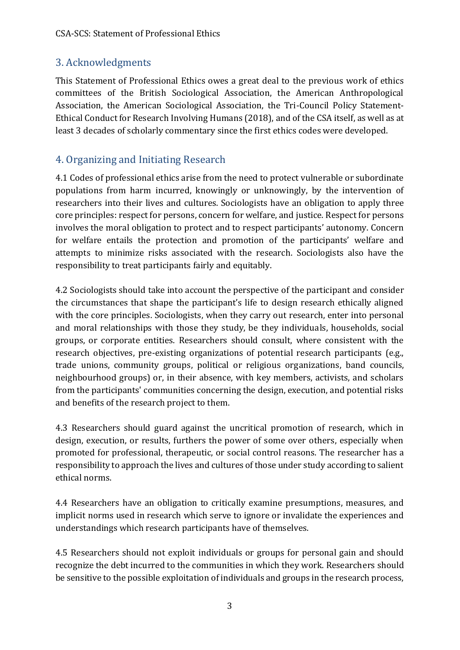#### <span id="page-2-0"></span>3. Acknowledgments

This Statement of Professional Ethics owes a great deal to the previous work of ethics committees of the British Sociological Association, the American Anthropological Association, the American Sociological Association, the Tri-Council Policy Statement-Ethical Conduct for Research Involving Humans (2018), and of the CSA itself, as well as at least 3 decades of scholarly commentary since the first ethics codes were developed.

#### <span id="page-2-1"></span>4. Organizing and Initiating Research

4.1 Codes of professional ethics arise from the need to protect vulnerable or subordinate populations from harm incurred, knowingly or unknowingly, by the intervention of researchers into their lives and cultures. Sociologists have an obligation to apply three core principles: respect for persons, concern for welfare, and justice. Respect for persons involves the moral obligation to protect and to respect participants' autonomy. Concern for welfare entails the protection and promotion of the participants' welfare and attempts to minimize risks associated with the research. Sociologists also have the responsibility to treat participants fairly and equitably.

4.2 Sociologists should take into account the perspective of the participant and consider the circumstances that shape the participant's life to design research ethically aligned with the core principles. Sociologists, when they carry out research, enter into personal and moral relationships with those they study, be they individuals, households, social groups, or corporate entities. Researchers should consult, where consistent with the research objectives, pre-existing organizations of potential research participants (e.g., trade unions, community groups, political or religious organizations, band councils, neighbourhood groups) or, in their absence, with key members, activists, and scholars from the participants' communities concerning the design, execution, and potential risks and benefits of the research project to them.

4.3 Researchers should guard against the uncritical promotion of research, which in design, execution, or results, furthers the power of some over others, especially when promoted for professional, therapeutic, or social control reasons. The researcher has a responsibility to approach the lives and cultures of those under study according to salient ethical norms.

4.4 Researchers have an obligation to critically examine presumptions, measures, and implicit norms used in research which serve to ignore or invalidate the experiences and understandings which research participants have of themselves.

4.5 Researchers should not exploit individuals or groups for personal gain and should recognize the debt incurred to the communities in which they work. Researchers should be sensitive to the possible exploitation of individuals and groups in the research process,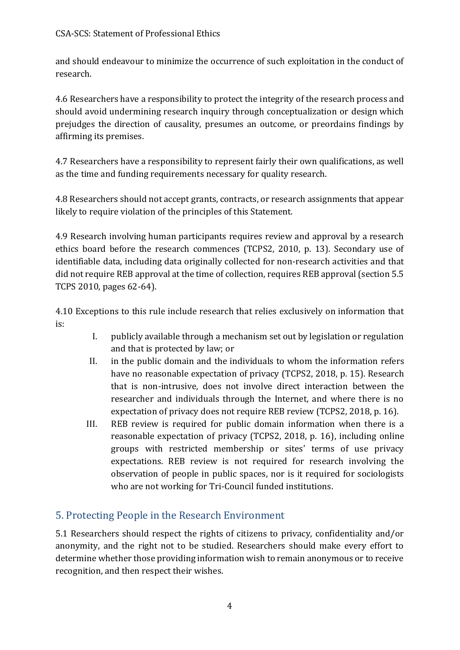and should endeavour to minimize the occurrence of such exploitation in the conduct of research.

4.6 Researchers have a responsibility to protect the integrity of the research process and should avoid undermining research inquiry through conceptualization or design which prejudges the direction of causality, presumes an outcome, or preordains findings by affirming its premises.

4.7 Researchers have a responsibility to represent fairly their own qualifications, as well as the time and funding requirements necessary for quality research.

4.8 Researchers should not accept grants, contracts, or research assignments that appear likely to require violation of the principles of this Statement.

4.9 Research involving human participants requires review and approval by a research ethics board before the research commences (TCPS2, 2010, p. 13). Secondary use of identifiable data, including data originally collected for non-research activities and that did not require REB approval at the time of collection, requires REB approval (section 5.5 TCPS 2010, pages 62-64).

4.10 Exceptions to this rule include research that relies exclusively on information that is:

- I. publicly available through a mechanism set out by legislation or regulation and that is protected by law; or
- II. in the public domain and the individuals to whom the information refers have no reasonable expectation of privacy (TCPS2, 2018, p. 15). Research that is non-intrusive, does not involve direct interaction between the researcher and individuals through the Internet, and where there is no expectation of privacy does not require REB review (TCPS2, 2018, p. 16).
- III. REB review is required for public domain information when there is a reasonable expectation of privacy (TCPS2, 2018, p. 16), including online groups with restricted membership or sites' terms of use privacy expectations. REB review is not required for research involving the observation of people in public spaces, nor is it required for sociologists who are not working for Tri-Council funded institutions.

# <span id="page-3-0"></span>5. Protecting People in the Research Environment

5.1 Researchers should respect the rights of citizens to privacy, confidentiality and/or anonymity, and the right not to be studied. Researchers should make every effort to determine whether those providing information wish to remain anonymous or to receive recognition, and then respect their wishes.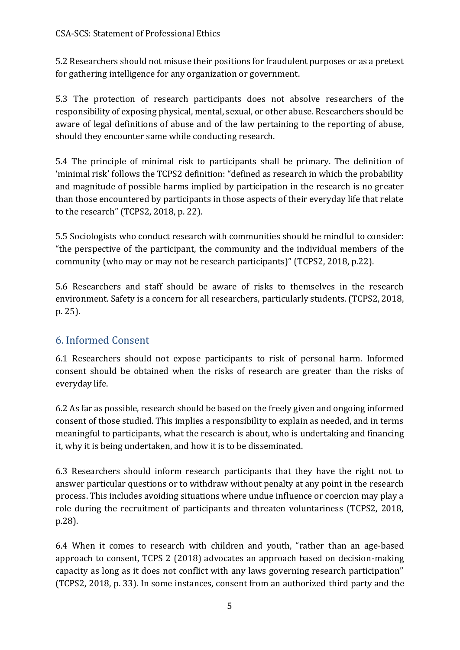5.2 Researchers should not misuse their positions for fraudulent purposes or as a pretext for gathering intelligence for any organization or government.

5.3 The protection of research participants does not absolve researchers of the responsibility of exposing physical, mental, sexual, or other abuse. Researchers should be aware of legal definitions of abuse and of the law pertaining to the reporting of abuse, should they encounter same while conducting research.

5.4 The principle of minimal risk to participants shall be primary. The definition of 'minimal risk' follows the TCPS2 definition: "defined as research in which the probability and magnitude of possible harms implied by participation in the research is no greater than those encountered by participants in those aspects of their everyday life that relate to the research" (TCPS2, 2018, p. 22).

5.5 Sociologists who conduct research with communities should be mindful to consider: "the perspective of the participant, the community and the individual members of the community (who may or may not be research participants)" (TCPS2, 2018, p.22).

5.6 Researchers and staff should be aware of risks to themselves in the research environment. Safety is a concern for all researchers, particularly students. (TCPS2, 2018, p. 25).

#### <span id="page-4-0"></span>6. Informed Consent

6.1 Researchers should not expose participants to risk of personal harm. Informed consent should be obtained when the risks of research are greater than the risks of everyday life.

6.2 As far as possible, research should be based on the freely given and ongoing informed consent of those studied. This implies a responsibility to explain as needed, and in terms meaningful to participants, what the research is about, who is undertaking and financing it, why it is being undertaken, and how it is to be disseminated.

6.3 Researchers should inform research participants that they have the right not to answer particular questions or to withdraw without penalty at any point in the research process. This includes avoiding situations where undue influence or coercion may play a role during the recruitment of participants and threaten voluntariness (TCPS2, 2018, p.28).

6.4 When it comes to research with children and youth, "rather than an age-based approach to consent, TCPS 2 (2018) advocates an approach based on decision-making capacity as long as it does not conflict with any laws governing research participation" (TCPS2, 2018, p. 33). In some instances, consent from an authorized third party and the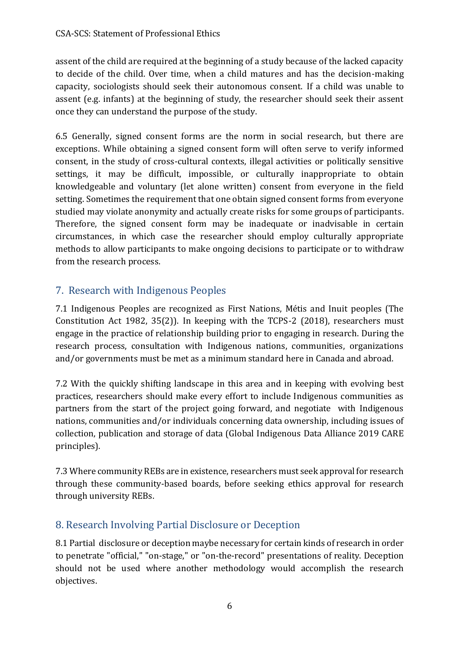assent of the child are required at the beginning of a study because of the lacked capacity to decide of the child. Over time, when a child matures and has the decision-making capacity, sociologists should seek their autonomous consent. If a child was unable to assent (e.g. infants) at the beginning of study, the researcher should seek their assent once they can understand the purpose of the study.

6.5 Generally, signed consent forms are the norm in social research, but there are exceptions. While obtaining a signed consent form will often serve to verify informed consent, in the study of cross-cultural contexts, illegal activities or politically sensitive settings, it may be difficult, impossible, or culturally inappropriate to obtain knowledgeable and voluntary (let alone written) consent from everyone in the field setting. Sometimes the requirement that one obtain signed consent forms from everyone studied may violate anonymity and actually create risks for some groups of participants. Therefore, the signed consent form may be inadequate or inadvisable in certain circumstances, in which case the researcher should employ culturally appropriate methods to allow participants to make ongoing decisions to participate or to withdraw from the research process.

# <span id="page-5-0"></span>7. Research with Indigenous Peoples

7.1 Indigenous Peoples are recognized as First Nations, Métis and Inuit peoples (The Constitution Act 1982, 35(2)). In keeping with the TCPS-2 (2018), researchers must engage in the practice of relationship building prior to engaging in research. During the research process, consultation with Indigenous nations, communities, organizations and/or governments must be met as a minimum standard here in Canada and abroad.

7.2 With the quickly shifting landscape in this area and in keeping with evolving best practices, researchers should make every effort to include Indigenous communities as partners from the start of the project going forward, and negotiate with Indigenous nations, communities and/or individuals concerning data ownership, including issues of collection, publication and storage of data (Global Indigenous Data Alliance 2019 CARE principles).

7.3 Where community REBs are in existence, researchers must seek approval for research through these community-based boards, before seeking ethics approval for research through university REBs.

# <span id="page-5-1"></span>8. Research Involving Partial Disclosure or Deception

8.1 Partial disclosure or deception maybe necessary for certain kinds of research in order to penetrate "official," "on-stage," or "on-the-record" presentations of reality. Deception should not be used where another methodology would accomplish the research objectives.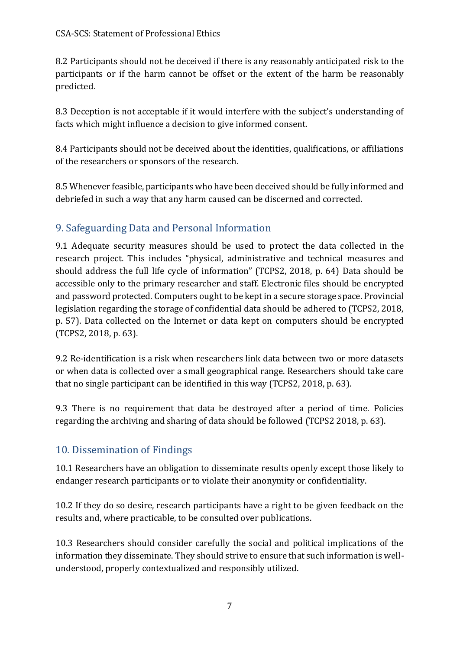8.2 Participants should not be deceived if there is any reasonably anticipated risk to the participants or if the harm cannot be offset or the extent of the harm be reasonably predicted.

8.3 Deception is not acceptable if it would interfere with the subject's understanding of facts which might influence a decision to give informed consent.

8.4 Participants should not be deceived about the identities, qualifications, or affiliations of the researchers or sponsors of the research.

8.5 Whenever feasible, participants who have been deceived should be fully informed and debriefed in such a way that any harm caused can be discerned and corrected.

# <span id="page-6-0"></span>9. Safeguarding Data and Personal Information

9.1 Adequate security measures should be used to protect the data collected in the research project. This includes "physical, administrative and technical measures and should address the full life cycle of information" (TCPS2, 2018, p. 64) Data should be accessible only to the primary researcher and staff. Electronic files should be encrypted and password protected. Computers ought to be kept in a secure storage space. Provincial legislation regarding the storage of confidential data should be adhered to (TCPS2, 2018, p. 57). Data collected on the Internet or data kept on computers should be encrypted (TCPS2, 2018, p. 63).

9.2 Re-identification is a risk when researchers link data between two or more datasets or when data is collected over a small geographical range. Researchers should take care that no single participant can be identified in this way (TCPS2, 2018, p. 63).

9.3 There is no requirement that data be destroyed after a period of time. Policies regarding the archiving and sharing of data should be followed (TCPS2 2018, p. 63).

# <span id="page-6-1"></span>10. Dissemination of Findings

10.1 Researchers have an obligation to disseminate results openly except those likely to endanger research participants or to violate their anonymity or confidentiality.

10.2 If they do so desire, research participants have a right to be given feedback on the results and, where practicable, to be consulted over publications.

10.3 Researchers should consider carefully the social and political implications of the information they disseminate. They should strive to ensure that such information is wellunderstood, properly contextualized and responsibly utilized.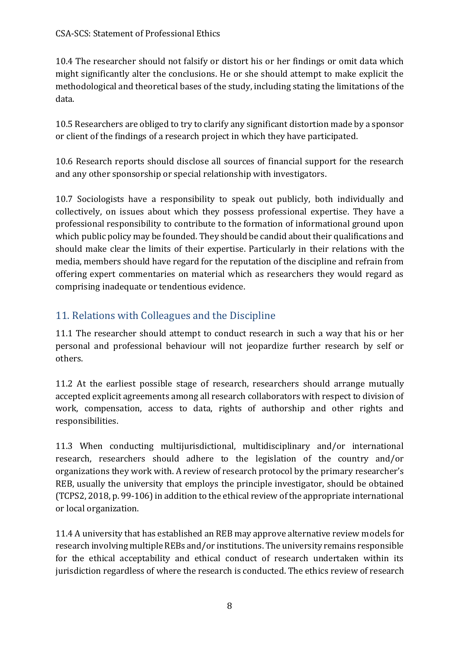10.4 The researcher should not falsify or distort his or her findings or omit data which might significantly alter the conclusions. He or she should attempt to make explicit the methodological and theoretical bases of the study, including stating the limitations of the data.

10.5 Researchers are obliged to try to clarify any significant distortion made by a sponsor or client of the findings of a research project in which they have participated.

10.6 Research reports should disclose all sources of financial support for the research and any other sponsorship or special relationship with investigators.

10.7 Sociologists have a responsibility to speak out publicly, both individually and collectively, on issues about which they possess professional expertise. They have a professional responsibility to contribute to the formation of informational ground upon which public policy may be founded. They should be candid about their qualifications and should make clear the limits of their expertise. Particularly in their relations with the media, members should have regard for the reputation of the discipline and refrain from offering expert commentaries on material which as researchers they would regard as comprising inadequate or tendentious evidence.

# <span id="page-7-0"></span>11. Relations with Colleagues and the Discipline

11.1 The researcher should attempt to conduct research in such a way that his or her personal and professional behaviour will not jeopardize further research by self or others.

11.2 At the earliest possible stage of research, researchers should arrange mutually accepted explicit agreements among all research collaborators with respect to division of work, compensation, access to data, rights of authorship and other rights and responsibilities.

11.3 When conducting multijurisdictional, multidisciplinary and/or international research, researchers should adhere to the legislation of the country and/or organizations they work with. A review of research protocol by the primary researcher's REB, usually the university that employs the principle investigator, should be obtained (TCPS2, 2018, p. 99-106) in addition to the ethical review of the appropriate international or local organization.

11.4 A university that has established an REB may approve alternative review models for research involving multiple REBs and/or institutions. The university remains responsible for the ethical acceptability and ethical conduct of research undertaken within its jurisdiction regardless of where the research is conducted. The ethics review of research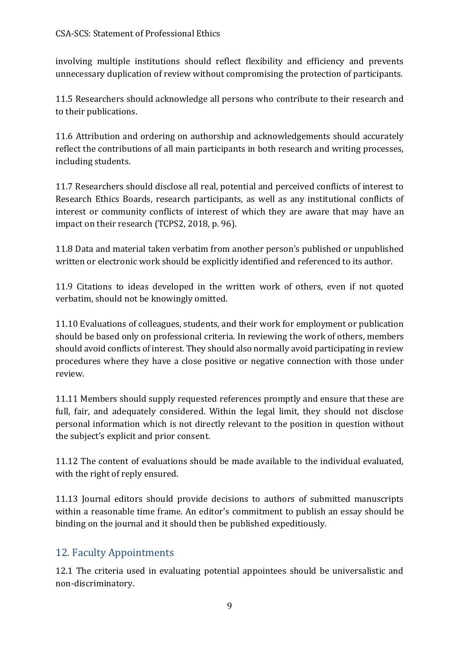involving multiple institutions should reflect flexibility and efficiency and prevents unnecessary duplication of review without compromising the protection of participants.

11.5 Researchers should acknowledge all persons who contribute to their research and to their publications.

11.6 Attribution and ordering on authorship and acknowledgements should accurately reflect the contributions of all main participants in both research and writing processes, including students.

11.7 Researchers should disclose all real, potential and perceived conflicts of interest to Research Ethics Boards, research participants, as well as any institutional conflicts of interest or community conflicts of interest of which they are aware that may have an impact on their research (TCPS2, 2018, p. 96).

11.8 Data and material taken verbatim from another person's published or unpublished written or electronic work should be explicitly identified and referenced to its author.

11.9 Citations to ideas developed in the written work of others, even if not quoted verbatim, should not be knowingly omitted.

11.10 Evaluations of colleagues, students, and their work for employment or publication should be based only on professional criteria. In reviewing the work of others, members should avoid conflicts of interest. They should also normally avoid participating in review procedures where they have a close positive or negative connection with those under review.

11.11 Members should supply requested references promptly and ensure that these are full, fair, and adequately considered. Within the legal limit, they should not disclose personal information which is not directly relevant to the position in question without the subject's explicit and prior consent.

11.12 The content of evaluations should be made available to the individual evaluated, with the right of reply ensured.

11.13 Journal editors should provide decisions to authors of submitted manuscripts within a reasonable time frame. An editor's commitment to publish an essay should be binding on the journal and it should then be published expeditiously.

#### <span id="page-8-0"></span>12. Faculty Appointments

12.1 The criteria used in evaluating potential appointees should be universalistic and non-discriminatory.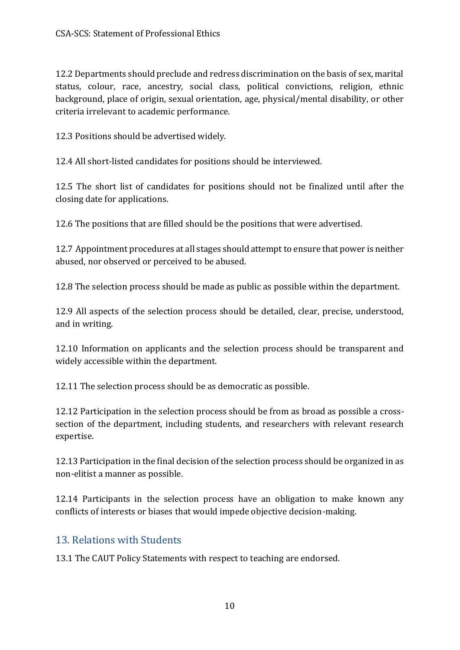12.2 Departments should preclude and redress discrimination on the basis of sex, marital status, colour, race, ancestry, social class, political convictions, religion, ethnic background, place of origin, sexual orientation, age, physical/mental disability, or other criteria irrelevant to academic performance.

12.3 Positions should be advertised widely.

12.4 All short-listed candidates for positions should be interviewed.

12.5 The short list of candidates for positions should not be finalized until after the closing date for applications.

12.6 The positions that are filled should be the positions that were advertised.

12.7 Appointment procedures at all stages should attempt to ensure that power is neither abused, nor observed or perceived to be abused.

12.8 The selection process should be made as public as possible within the department.

12.9 All aspects of the selection process should be detailed, clear, precise, understood, and in writing.

12.10 Information on applicants and the selection process should be transparent and widely accessible within the department.

12.11 The selection process should be as democratic as possible.

12.12 Participation in the selection process should be from as broad as possible a crosssection of the department, including students, and researchers with relevant research expertise.

12.13 Participation in the final decision of the selection process should be organized in as non-elitist a manner as possible.

12.14 Participants in the selection process have an obligation to make known any conflicts of interests or biases that would impede objective decision-making.

#### <span id="page-9-0"></span>13. Relations with Students

13.1 The CAUT Policy Statements with respect to teaching are endorsed.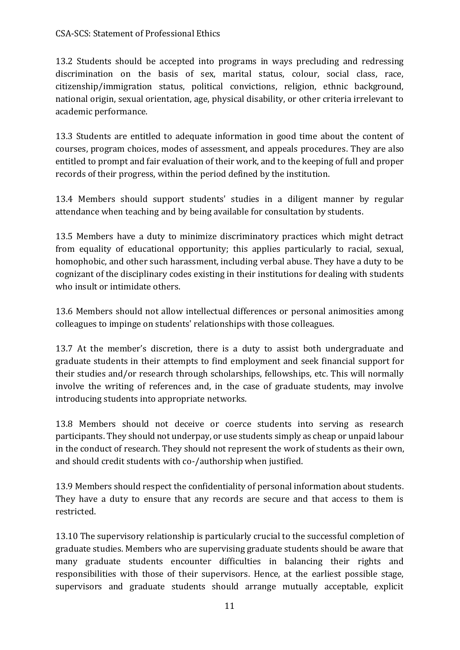#### CSA-SCS: Statement of Professional Ethics

13.2 Students should be accepted into programs in ways precluding and redressing discrimination on the basis of sex, marital status, colour, social class, race, citizenship/immigration status, political convictions, religion, ethnic background, national origin, sexual orientation, age, physical disability, or other criteria irrelevant to academic performance.

13.3 Students are entitled to adequate information in good time about the content of courses, program choices, modes of assessment, and appeals procedures. They are also entitled to prompt and fair evaluation of their work, and to the keeping of full and proper records of their progress, within the period defined by the institution.

13.4 Members should support students' studies in a diligent manner by regular attendance when teaching and by being available for consultation by students.

13.5 Members have a duty to minimize discriminatory practices which might detract from equality of educational opportunity; this applies particularly to racial, sexual, homophobic, and other such harassment, including verbal abuse. They have a duty to be cognizant of the disciplinary codes existing in their institutions for dealing with students who insult or intimidate others.

13.6 Members should not allow intellectual differences or personal animosities among colleagues to impinge on students' relationships with those colleagues.

13.7 At the member's discretion, there is a duty to assist both undergraduate and graduate students in their attempts to find employment and seek financial support for their studies and/or research through scholarships, fellowships, etc. This will normally involve the writing of references and, in the case of graduate students, may involve introducing students into appropriate networks.

13.8 Members should not deceive or coerce students into serving as research participants. They should not underpay, or use students simply as cheap or unpaid labour in the conduct of research. They should not represent the work of students as their own, and should credit students with co-/authorship when justified.

13.9 Members should respect the confidentiality of personal information about students. They have a duty to ensure that any records are secure and that access to them is restricted.

13.10 The supervisory relationship is particularly crucial to the successful completion of graduate studies. Members who are supervising graduate students should be aware that many graduate students encounter difficulties in balancing their rights and responsibilities with those of their supervisors. Hence, at the earliest possible stage, supervisors and graduate students should arrange mutually acceptable, explicit